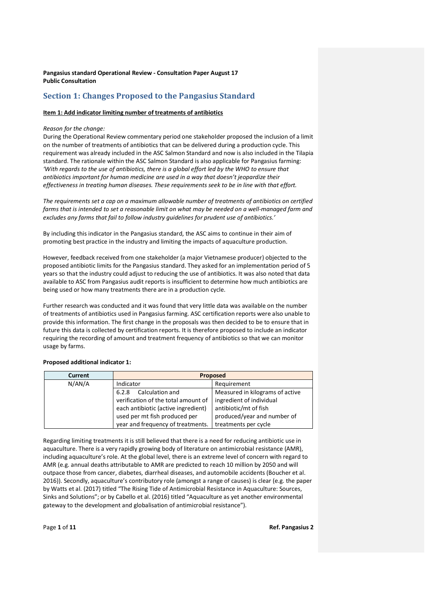# **Section 1: Changes Proposed to the Pangasius Standard**

### **Item 1: Add indicator limiting number of treatments of antibiotics**

### *Reason for the change:*

During the Operational Review commentary period one stakeholder proposed the inclusion of a limit on the number of treatments of antibiotics that can be delivered during a production cycle. This requirement was already included in the ASC Salmon Standard and now is also included in the Tilapia standard. The rationale within the ASC Salmon Standard is also applicable for Pangasius farming: 'With regards to the use of antibiotics, there is a global effort led by the WHO to ensure that *antibiotics important for human medicine are used in a way that doesn't jeopardize their effectiveness in treating human diseases. These requirements seek to be in line with that effort.*

*The requirements set a cap on a maximum allowable number of treatments of antibiotics on certified farms that is intended to set a reasonable limit on what may be needed on a well-managed farm and excludes any farms that fail to follow industry guidelines for prudent use of antibiotics.'*

By including this indicator in the Pangasius standard, the ASC aims to continue in their aim of promoting best practice in the industry and limiting the impacts of aquaculture production.

However, feedback received from one stakeholder (a major Vietnamese producer) objected to the proposed antibiotic limits for the Pangasius standard. They asked for an implementation period of 5 years so that the industry could adjust to reducing the use of antibiotics. It was also noted that data available to ASC from Pangasius audit reports is insufficient to determine how much antibiotics are being used or how many treatments there are in a production cycle.

Further research was conducted and it was found that very little data was available on the number of treatments of antibiotics used in Pangasius farming. ASC certification reports were also unable to provide this information. The first change in the proposals was then decided to be to ensure that in future this data is collected by certification reports. It is therefore proposed to include an indicator requiring the recording of amount and treatment frequency of antibiotics so that we can monitor usage by farms.

| <b>Current</b> | <b>Proposed</b>                     |                                 |
|----------------|-------------------------------------|---------------------------------|
| N/AN/A         | Indicator                           | Requirement                     |
|                | Calculation and<br>6.2.8            | Measured in kilograms of active |
|                | verification of the total amount of | ingredient of individual        |
|                | each antibiotic (active ingredient) | antibiotic/mt of fish           |
|                | used per mt fish produced per       | produced/year and number of     |
|                | year and frequency of treatments.   | treatments per cycle            |

### **Proposed additional indicator 1:**

Regarding limiting treatments it is still believed that there is a need for reducing antibiotic use in aquaculture. There is a very rapidly growing body of literature on antimicrobial resistance (AMR), including aquaculture's role. At the global level, there is an extreme level of concern with regard to AMR (e.g. annual deaths attributable to AMR are predicted to reach 10 million by 2050 and will outpace those from cancer, diabetes, diarrheal diseases, and automobile accidents (Boucher et al. 2016)). Secondly, aquaculture's contributory role (amongst a range of causes) is clear (e.g. the paper by Watts et al. (2017) titled "The Rising Tide of Antimicrobial Resistance in Aquaculture: Sources, Sinks and Solutions"; or by Cabello et al. (2016) titled "Aquaculture as yet another environmental gateway to the development and globalisation of antimicrobial resistance").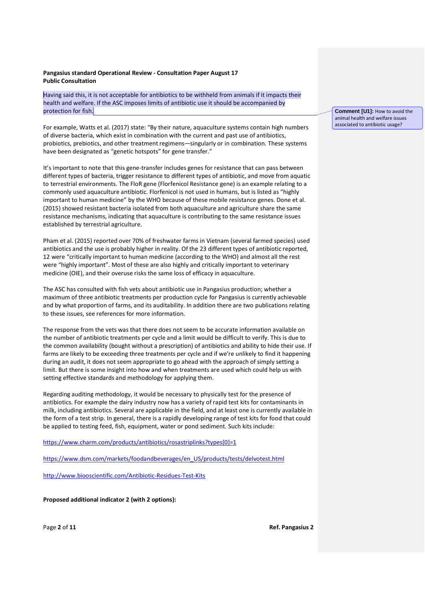Having said this, it is not acceptable for antibiotics to be withheld from animals if it impacts their health and welfare. If the ASC imposes limits of antibiotic use it should be accompanied by protection for fish.

For example, Watts et al. (2017) state: "By their nature, aquaculture systems contain high numbers of diverse bacteria, which exist in combination with the current and past use of antibiotics, probiotics, prebiotics, and other treatment regimens—singularly or in combination. These systems have been designated as "genetic hotspots" for gene transfer."

It's important to note that this gene-transfer includes genes for resistance that can pass between different types of bacteria, trigger resistance to different types of antibiotic, and move from aquatic to terrestrial environments. The FloR gene (Florfenicol Resistance gene) is an example relating to a commonly used aquaculture antibiotic. Florfenicol is not used in humans, but is listed as "highly important to human medicine" by the WHO because of these mobile resistance genes. Done et al. (2015) showed resistant bacteria isolated from both aquaculture and agriculture share the same resistance mechanisms, indicating that aquaculture is contributing to the same resistance issues established by terrestrial agriculture.

Pham et al. (2015) reported over 70% of freshwater farms in Vietnam (several farmed species) used antibiotics and the use is probably higher in reality. Of the 23 different types of antibiotic reported, 12 were "critically important to human medicine (according to the WHO) and almost all the rest were "highly important". Most of these are also highly and critically important to veterinary medicine (OIE), and their overuse risks the same loss of efficacy in aquaculture.

The ASC has consulted with fish vets about antibiotic use in Pangasius production; whether a maximum of three antibiotic treatments per production cycle for Pangasius is currently achievable and by what proportion of farms, and its auditability. In addition there are two publications relating to these issues, see references for more information.

The response from the vets was that there does not seem to be accurate information available on the number of antibiotic treatments per cycle and a limit would be difficult to verify. This is due to the common availability (bought without a prescription) of antibiotics and ability to hide their use. If farms are likely to be exceeding three treatments per cycle and if we're unlikely to find it happening during an audit, it does not seem appropriate to go ahead with the approach of simply setting a limit. But there is some insight into how and when treatments are used which could help us with setting effective standards and methodology for applying them.

Regarding auditing methodology, it would be necessary to physically test for the presence of antibiotics. For example the dairy industry now has a variety of rapid test kits for contaminants in milk, including antibiotics. Several are applicable in the field, and at least one is currently available in the form of a test strip. In general, there is a rapidly developing range of test kits for food that could be applied to testing feed, fish, equipment, water or pond sediment. Such kits include:

[https://www.charm.com/products/antibiotics/rosastriplinks?types\[0\]=1](https://mail.asc-aqua.org/owa/redir.aspx?C=87c3450e6403445fba13dd402a7e79a0&URL=https%3a%2f%2fwww.charm.com%2fproducts%2fantibiotics%2frosastriplinks%3ftypes%255b0%255d%3d1)

[https://www.dsm.com/markets/foodandbeverages/en\\_US/products/tests/delvotest.html](https://mail.asc-aqua.org/owa/redir.aspx?C=87c3450e6403445fba13dd402a7e79a0&URL=https%3a%2f%2fwww.dsm.com%2fmarkets%2ffoodandbeverages%2fen_US%2fproducts%2ftests%2fdelvotest.html)

[http://www.biooscientific.com/Antibiotic-Residues-Test-Kits](https://mail.asc-aqua.org/owa/redir.aspx?C=87c3450e6403445fba13dd402a7e79a0&URL=http%3a%2f%2fwww.biooscientific.com%2fAntibiotic-Residues-Test-Kits)

**Proposed additional indicator 2 (with 2 options):** 

**Comment [U1]:** How to avoid the animal health and welfare issues associated to antibiotic usage?

Page **2** of **11 Ref. Pangasius 2**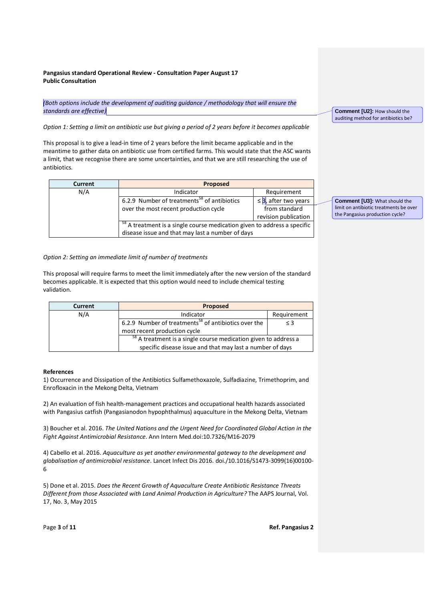*(Both options include the development of auditing guidance / methodology that will ensure the standards are effective)*

*Option 1: Setting a limit on antibiotic use but giving a period of 2 years before it becomes applicable*

This proposal is to give a lead-in time of 2 years before the limit became applicable and in the meantime to gather data on antibiotic use from certified farms. This would state that the ASC wants a limit, that we recognise there are some uncertainties, and that we are still researching the use of antibiotics.

| Current | Proposed                                                                            |                           |
|---------|-------------------------------------------------------------------------------------|---------------------------|
| N/A     | Indicator                                                                           | Requirement               |
|         | 6.2.9 Number of treatments <sup>58</sup> of antibiotics                             | $\leq$ 3, after two years |
|         | over the most recent production cycle                                               | from standard             |
|         |                                                                                     | revision publication      |
|         | <sup>58</sup> A treatment is a single course medication given to address a specific |                           |
|         | disease issue and that may last a number of days                                    |                           |

#### *Option 2: Setting an immediate limit of number of treatments*

This proposal will require farms to meet the limit immediately after the new version of the standard becomes applicable. It is expected that this option would need to include chemical testing validation.

| Current | <b>Proposed</b>                                                            |             |
|---------|----------------------------------------------------------------------------|-------------|
| N/A     | Indicator                                                                  | Requirement |
|         | 6.2.9 Number of treatments <sup>58</sup> of antibiotics over the           | $\leq$ 3    |
|         | most recent production cycle                                               |             |
|         | <sup>58</sup> A treatment is a single course medication given to address a |             |
|         | specific disease issue and that may last a number of days                  |             |

#### **References**

1) Occurrence and Dissipation of the Antibiotics Sulfamethoxazole, Sulfadiazine, Trimethoprim, and Enrofloxacin in the Mekong Delta, Vietnam

2) An evaluation of fish health-management practices and occupational health hazards associated with Pangasius catfish (Pangasianodon hypophthalmus) aquaculture in the Mekong Delta, Vietnam

3) Boucher et al. 2016. *The United Nations and the Urgent Need for Coordinated Global Action in the Fight Against Antimicrobial Resistance*. Ann Intern Med.doi:10.7326/M16-2079

4) Cabello et al. 2016. *Aquaculture as yet another environmental gateway to the development and globalisation of antimicrobial resistance*. Lancet Infect Dis 2016. doi./10.1016/S1473-3099(16)00100- 6

5) Done et al. 2015. *Does the Recent Growth of Aquaculture Create Antibiotic Resistance Threats Different from those Associated with Land Animal Production in Agriculture?* The AAPS Journal, Vol. 17, No. 3, May 2015

**Comment [U2]:** How should the auditing method for antibiotics be?

**Comment [U3]:** What should the limit on antibiotic treatments be over the Pangasius production cycle?

Page **3** of **11 Ref. Pangasius 2**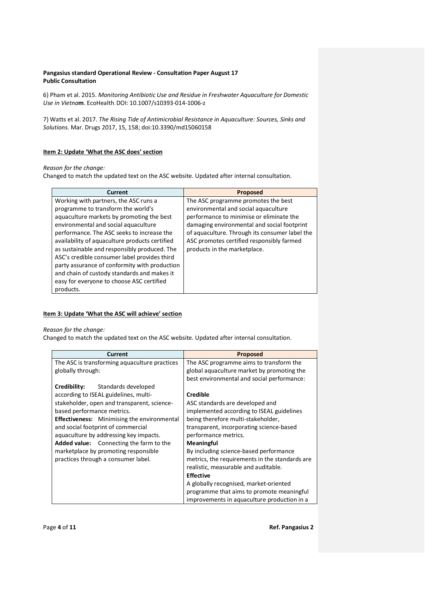6) Pham et al. 2015. *Monitoring Antibiotic Use and Residue in Freshwater Aquaculture for Domestic Use in Vietna***m**. EcoHealth. DOI: 10.1007/s10393-014-1006-z

7) Watts et al. 2017. *The Rising Tide of Antimicrobial Resistance in Aquaculture: Sources, Sinks and Solutions.* Mar. Drugs 2017, 15, 158; doi:10.3390/md15060158

### **Item 2: Update 'What the ASC does' section**

### *Reason for the change:*

Changed to match the updated text on the ASC website. Updated after internal consultation.

| <b>Current</b>                                 | <b>Proposed</b>                                |
|------------------------------------------------|------------------------------------------------|
| Working with partners, the ASC runs a          | The ASC programme promotes the best            |
| programme to transform the world's             | environmental and social aquaculture           |
| aquaculture markets by promoting the best      | performance to minimise or eliminate the       |
| environmental and social aquaculture           | damaging environmental and social footprint    |
| performance. The ASC seeks to increase the     | of aquaculture. Through its consumer label the |
| availability of aquaculture products certified | ASC promotes certified responsibly farmed      |
| as sustainable and responsibly produced. The   | products in the marketplace.                   |
| ASC's credible consumer label provides third   |                                                |
| party assurance of conformity with production  |                                                |
| and chain of custody standards and makes it    |                                                |
| easy for everyone to choose ASC certified      |                                                |
| products.                                      |                                                |

### **Item 3: Update 'What the ASC will achieve' section**

### *Reason for the change:*

Changed to match the updated text on the ASC website. Updated after internal consultation.

| Current                                            | <b>Proposed</b>                                |
|----------------------------------------------------|------------------------------------------------|
| The ASC is transforming aquaculture practices      | The ASC programme aims to transform the        |
| globally through:                                  | global aquaculture market by promoting the     |
|                                                    | best environmental and social performance:     |
| Standards developed<br>Credibility:                |                                                |
| according to ISEAL guidelines, multi-              | Credible                                       |
| stakeholder, open and transparent, science-        | ASC standards are developed and                |
| based performance metrics.                         | implemented according to ISEAL guidelines      |
| <b>Effectiveness:</b> Minimising the environmental | being therefore multi-stakeholder,             |
| and social footprint of commercial                 | transparent, incorporating science-based       |
| aquaculture by addressing key impacts.             | performance metrics.                           |
| <b>Added value:</b> Connecting the farm to the     | <b>Meaningful</b>                              |
| marketplace by promoting responsible               | By including science-based performance         |
| practices through a consumer label.                | metrics, the requirements in the standards are |
|                                                    | realistic, measurable and auditable.           |
|                                                    | <b>Effective</b>                               |
|                                                    | A globally recognised, market-oriented         |
|                                                    | programme that aims to promote meaningful      |
|                                                    | improvements in aquaculture production in a    |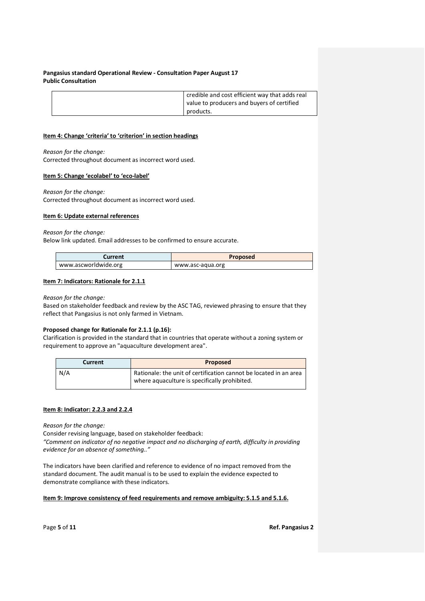| credible and cost efficient way that adds real<br>value to producers and buyers of certified |
|----------------------------------------------------------------------------------------------|
| products.                                                                                    |

#### **Item 4: Change 'criteria' to 'criterion' in section headings**

*Reason for the change:*

Corrected throughout document as incorrect word used.

### **Item 5: Change 'ecolabel' to 'eco-label'**

*Reason for the change:*

Corrected throughout document as incorrect word used.

### **Item 6: Update external references**

### *Reason for the change:*

Below link updated. Email addresses to be confirmed to ensure accurate.

| Current              | <b>Proposed</b>  |
|----------------------|------------------|
| www.ascworldwide.org | www.asc-agua.org |

### **Item 7: Indicators: Rationale for 2.1.1**

### *Reason for the change:*

Based on stakeholder feedback and review by the ASC TAG, reviewed phrasing to ensure that they reflect that Pangasius is not only farmed in Vietnam.

## **Proposed change for Rationale for 2.1.1 (p.16):**

Clarification is provided in the standard that in countries that operate without a zoning system or requirement to approve an "aquaculture development area".

| Current | Proposed                                                                                                           |
|---------|--------------------------------------------------------------------------------------------------------------------|
| N/A     | Rationale: the unit of certification cannot be located in an area<br>where aquaculture is specifically prohibited. |

### **Item 8: Indicator: 2.2.3 and 2.2.4**

*Reason for the change:*

Consider revising language, based on stakeholder feedback:

*"Comment on indicator of no negative impact and no discharging of earth, difficulty in providing evidence for an absence of something.."*

The indicators have been clarified and reference to evidence of no impact removed from the standard document. The audit manual is to be used to explain the evidence expected to demonstrate compliance with these indicators.

## **Item 9: Improve consistency of feed requirements and remove ambiguity: 5.1.5 and 5.1.6.**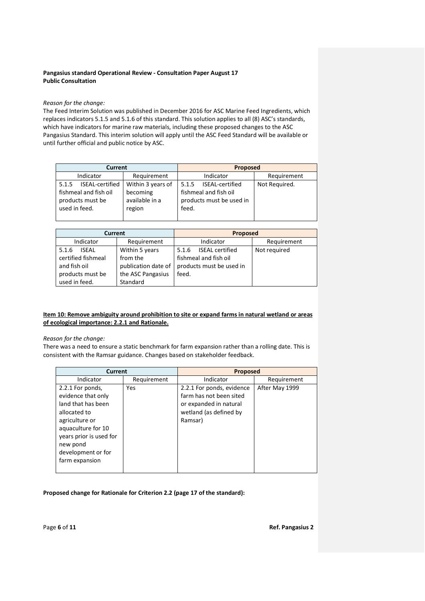### *Reason for the change:*

The Feed Interim Solution was published in December 2016 for ASC Marine Feed Ingredients, which replaces indicators 5.1.5 and 5.1.6 of this standard. This solution applies to all (8) ASC's standards, which have indicators for marine raw materials, including these proposed changes to the ASC Pangasius Standard. This interim solution will apply until the ASC Feed Standard will be available or until further official and public notice by ASC.

| <b>Current</b>                                                                         |                                                           | <b>Proposed</b>                                                                        |               |
|----------------------------------------------------------------------------------------|-----------------------------------------------------------|----------------------------------------------------------------------------------------|---------------|
| Indicator                                                                              | Requirement                                               | Indicator                                                                              | Requirement   |
| ISEAL-certified<br>5.1.5<br>fishmeal and fish oil<br>products must be<br>used in feed. | Within 3 years of<br>becoming<br>available in a<br>region | ISEAL-certified<br>5.1.5<br>fishmeal and fish oil<br>products must be used in<br>feed. | Not Required. |

| <b>Current</b>        |                     | <b>Proposed</b>          |              |
|-----------------------|---------------------|--------------------------|--------------|
| Indicator             | Requirement         | Indicator                | Requirement  |
| <b>ISFAI</b><br>5.1.6 | Within 5 years      | ISEAL certified<br>5.1.6 | Not required |
| certified fishmeal    | from the            | fishmeal and fish oil    |              |
| and fish oil          | publication date of | products must be used in |              |
| products must be      | the ASC Pangasius   | feed.                    |              |
| used in feed.         | Standard            |                          |              |

### **Item 10: Remove ambiguity around prohibition to site or expand farms in natural wetland or areas of ecological importance: 2.2.1 and Rationale.**

### *Reason for the change:*

There was a need to ensure a static benchmark for farm expansion rather than a rolling date. This is consistent with the Ramsar guidance. Changes based on stakeholder feedback.

| Current                                                                                                                                                     |             | Proposed                                                                                                            |                |
|-------------------------------------------------------------------------------------------------------------------------------------------------------------|-------------|---------------------------------------------------------------------------------------------------------------------|----------------|
| Indicator                                                                                                                                                   | Requirement | Indicator                                                                                                           | Requirement    |
| 2.2.1 For ponds,<br>evidence that only<br>land that has been<br>allocated to<br>agriculture or<br>aquaculture for 10<br>years prior is used for<br>new pond | Yes         | 2.2.1 For ponds, evidence<br>farm has not been sited<br>or expanded in natural<br>wetland (as defined by<br>Ramsar) | After May 1999 |
| development or for<br>farm expansion                                                                                                                        |             |                                                                                                                     |                |

## **Proposed change for Rationale for Criterion 2.2 (page 17 of the standard):**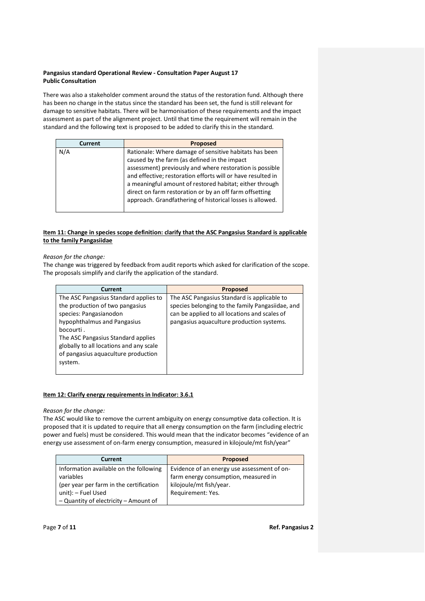There was also a stakeholder comment around the status of the restoration fund. Although there has been no change in the status since the standard has been set, the fund is still relevant for damage to sensitive habitats. There will be harmonisation of these requirements and the impact assessment as part of the alignment project. Until that time the requirement will remain in the standard and the following text is proposed to be added to clarify this in the standard.

| Current | Proposed                                                                                                                                                                                                                                                                                                                                                                                                             |
|---------|----------------------------------------------------------------------------------------------------------------------------------------------------------------------------------------------------------------------------------------------------------------------------------------------------------------------------------------------------------------------------------------------------------------------|
| N/A     | Rationale: Where damage of sensitive habitats has been<br>caused by the farm (as defined in the impact<br>assessment) previously and where restoration is possible<br>and effective; restoration efforts will or have resulted in<br>a meaningful amount of restored habitat; either through<br>direct on farm restoration or by an off farm offsetting<br>approach. Grandfathering of historical losses is allowed. |

## **Item 11: Change in species scope definition: clarify that the ASC Pangasius Standard is applicable to the family Pangasiidae**

*Reason for the change:*

The change was triggered by feedback from audit reports which asked for clarification of the scope. The proposals simplify and clarify the application of the standard.

| Current                                 | <b>Proposed</b>                                  |
|-----------------------------------------|--------------------------------------------------|
| The ASC Pangasius Standard applies to   | The ASC Pangasius Standard is applicable to      |
| the production of two pangasius         | species belonging to the family Pangasiidae, and |
| species: Pangasianodon                  | can be applied to all locations and scales of    |
| hypophthalmus and Pangasius             | pangasius aquaculture production systems.        |
| bocourti.                               |                                                  |
| The ASC Pangasius Standard applies      |                                                  |
| globally to all locations and any scale |                                                  |
| of pangasius aquaculture production     |                                                  |
| system.                                 |                                                  |
|                                         |                                                  |

## **Item 12: Clarify energy requirements in Indicator: 3.6.1**

### *Reason for the change:*

The ASC would like to remove the current ambiguity on energy consumptive data collection. It is proposed that it is updated to require that all energy consumption on the farm (including electric power and fuels) must be considered. This would mean that the indicator becomes "evidence of an energy use assessment of on-farm energy consumption, measured in kilojoule/mt fish/year"

| <b>Current</b>                          | <b>Proposed</b>                             |
|-----------------------------------------|---------------------------------------------|
| Information available on the following  | Evidence of an energy use assessment of on- |
| variables                               | farm energy consumption, measured in        |
| (per year per farm in the certification | kilojoule/mt fish/year.                     |
| unit): - Fuel Used                      | Requirement: Yes.                           |
| - Quantity of electricity - Amount of   |                                             |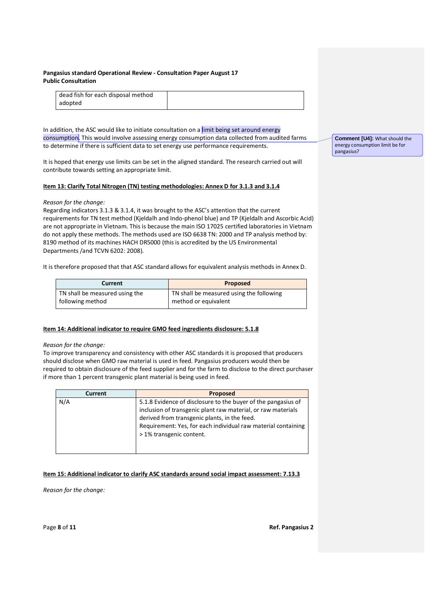| dead fish for each disposal method |  |
|------------------------------------|--|
| adopted                            |  |

In addition, the ASC would like to initiate consultation on a limit being set around energy consumption. This would involve assessing energy consumption data collected from audited farms to determine if there is sufficient data to set energy use performance requirements.

It is hoped that energy use limits can be set in the aligned standard. The research carried out will contribute towards setting an appropriate limit.

### **Item 13: Clarify Total Nitrogen (TN) testing methodologies: Annex D for 3.1.3 and 3.1.4**

### *Reason for the change:*

Regarding indicators 3.1.3 & 3.1.4, it was brought to the ASC's attention that the current requirements for TN test method (Kjeldalh and Indo-phenol blue) and TP (Kjeldalh and Ascorbic Acid) are not appropriate in Vietnam. This is because the main ISO 17025 certified laboratories in Vietnam do not apply these methods. The methods used are ISO 6638 TN: 2000 and TP analysis method by: 8190 method of its machines HACH DR5000 (this is accredited by the US Environmental Departments /and TCVN 6202: 2008).

It is therefore proposed that that ASC standard allows for equivalent analysis methods in Annex D.

| Current                        | Proposed                                 |
|--------------------------------|------------------------------------------|
| TN shall be measured using the | TN shall be measured using the following |
| following method               | method or equivalent                     |

## **Item 14: Additional indicator to require GMO feed ingredients disclosure: 5.1.8**

### *Reason for the change:*

To improve transparency and consistency with other ASC standards it is proposed that producers should disclose when GMO raw material is used in feed. Pangasius producers would then be required to obtain disclosure of the feed supplier and for the farm to disclose to the direct purchaser if more than 1 percent transgenic plant material is being used in feed.

| <b>Current</b> | <b>Proposed</b>                                                                                                                                                                                                                                                            |
|----------------|----------------------------------------------------------------------------------------------------------------------------------------------------------------------------------------------------------------------------------------------------------------------------|
| N/A            | 5.1.8 Evidence of disclosure to the buyer of the pangasius of<br>inclusion of transgenic plant raw material, or raw materials<br>derived from transgenic plants, in the feed.<br>Requirement: Yes, for each individual raw material containing<br>> 1% transgenic content. |

## **Item 15: Additional indicator to clarify ASC standards around social impact assessment: 7.13.3**

*Reason for the change:*

**Comment [U4]:** What should the energy consumption limit be for pangasius?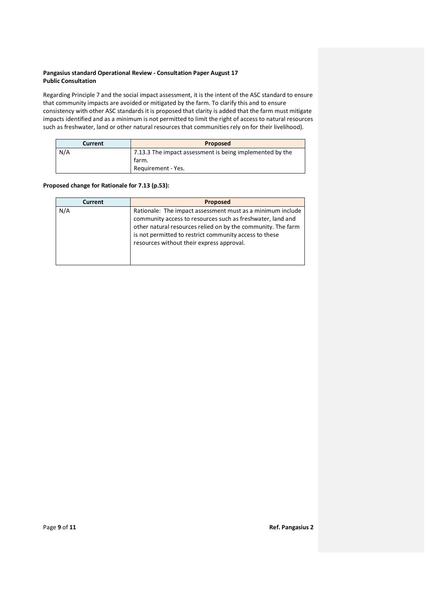Regarding Principle 7 and the social impact assessment, it is the intent of the ASC standard to ensure that community impacts are avoided or mitigated by the farm. To clarify this and to ensure consistency with other ASC standards it is proposed that clarity is added that the farm must mitigate impacts identified and as a minimum is not permitted to limit the right of access to natural resources such as freshwater, land or other natural resources that communities rely on for their livelihood).

| <b>Current</b> | <b>Proposed</b>                                          |
|----------------|----------------------------------------------------------|
| N/A            | 7.13.3 The impact assessment is being implemented by the |
|                | farm.                                                    |
|                | Requirement - Yes.                                       |

## **Proposed change for Rationale for 7.13 (p.53):**

| <b>Current</b> | <b>Proposed</b>                                                                                                                                                                                                                                                                                 |
|----------------|-------------------------------------------------------------------------------------------------------------------------------------------------------------------------------------------------------------------------------------------------------------------------------------------------|
| N/A            | Rationale: The impact assessment must as a minimum include<br>community access to resources such as freshwater, land and<br>other natural resources relied on by the community. The farm<br>is not permitted to restrict community access to these<br>resources without their express approval. |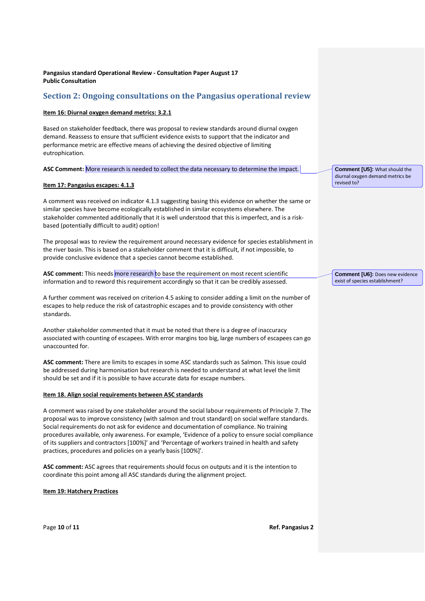## **Section 2: Ongoing consultations on the Pangasius operational review**

#### **Item 16: Diurnal oxygen demand metrics: 3.2.1**

Based on stakeholder feedback, there was proposal to review standards around diurnal oxygen demand. Reassess to ensure that sufficient evidence exists to support that the indicator and performance metric are effective means of achieving the desired objective of limiting eutrophication.

#### **ASC Comment:** More research is needed to collect the data necessary to determine the impact.

#### **Item 17: Pangasius escapes: 4.1.3**

A comment was received on indicator 4.1.3 suggesting basing this evidence on whether the same or similar species have become ecologically established in similar ecosystems elsewhere. The stakeholder commented additionally that it is well understood that this is imperfect, and is a riskbased (potentially difficult to audit) option!

The proposal was to review the requirement around necessary evidence for species establishment in the river basin. This is based on a stakeholder comment that it is difficult, if not impossible, to provide conclusive evidence that a species cannot become established.

ASC comment: This needs more research to base the requirement on most recent scientific information and to reword this requirement accordingly so that it can be credibly assessed.

A further comment was received on criterion 4.5 asking to consider adding a limit on the number of escapes to help reduce the risk of catastrophic escapes and to provide consistency with other standards.

Another stakeholder commented that it must be noted that there is a degree of inaccuracy associated with counting of escapees. With error margins too big, large numbers of escapees can go unaccounted for.

**ASC comment:** There are limits to escapes in some ASC standards such as Salmon. This issue could be addressed during harmonisation but research is needed to understand at what level the limit should be set and if it is possible to have accurate data for escape numbers.

#### **Item 18. Align social requirements between ASC standards**

A comment was raised by one stakeholder around the social labour requirements of Principle 7. The proposal was to improve consistency (with salmon and trout standard) on social welfare standards. Social requirements do not ask for evidence and documentation of compliance. No training procedures available, only awareness. For example, 'Evidence of a policy to ensure social compliance of its suppliers and contractors [100%]' and 'Percentage of workers trained in health and safety practices, procedures and policies on a yearly basis [100%]'.

**ASC comment:** ASC agrees that requirements should focus on outputs and it is the intention to coordinate this point among all ASC standards during the alignment project.

**Item 19: Hatchery Practices**

**Comment [U5]:** What should the diurnal oxygen demand metrics be revised to?

**Comment [U6]:** Does new evidence exist of species establishment?

Page **10** of **11 Ref. Pangasius 2**